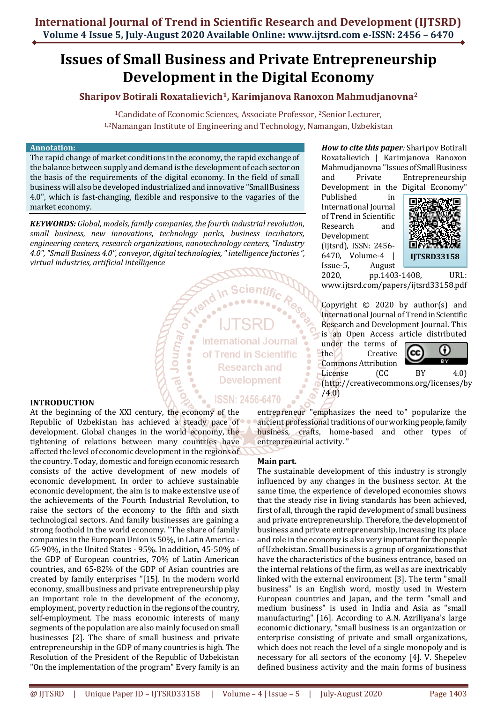# **Issues of Small Business and Private Entrepreneurship Development in the Digital Economy**

# **Sharipov Botirali Roxatalievich1, Karimjanova Ranoxon Mahmudjanovna<sup>2</sup>**

<sup>1</sup>Candidate of Economic Sciences, Associate Professor, <sup>2</sup>Senior Lecturer, 1,2Namangan Institute of Engineering and Technology, Namangan, Uzbekistan

### **Annotation:**

The rapid change of market conditions in the economy, the rapid exchange of the balance between supply and demand is the development of each sector on the basis of the requirements of the digital economy. In the field of small business will also be developed industrialized and innovative "Small Business 4.0", which is fast-changing, flexible and responsive to the vagaries of the market economy.

*KEYWORDS: Global, models, family companies, the fourth industrial revolution, small business, new innovations, technology parks, business incubators, engineering centers, research organizations, nanotechnology centers, "Industry 4.0", "Small Business 4.0", conveyor, digital technologies, " intelligence factories ", virtual industries, artificial intelligence*

 $\delta$ 

**Journal** 

**International Journal** of Trend in Scientific **Research and Development** 

**ISSN: 2456-6470** 

#### **INTRODUCTION**

At the beginning of the XXI century, the economy of the Republic of Uzbekistan has achieved a steady pace of development. Global changes in the world economy, the tightening of relations between many countries have affected the level of economic development in the regions of the country. Today, domestic and foreign economic research consists of the active development of new models of economic development. In order to achieve sustainable economic development, the aim is to make extensive use of the achievements of the Fourth Industrial Revolution, to raise the sectors of the economy to the fifth and sixth technological sectors. And family businesses are gaining a strong foothold in the world economy. "The share of family companies in the European Union is 50%, in Latin America - 65-90%, in the United States - 95%. In addition, 45-50% of the GDP of European countries, 70% of Latin American countries, and 65-82% of the GDP of Asian countries are created by family enterprises "[15]. In the modern world economy, small business and private entrepreneurship play an important role in the development of the economy, employment, poverty reduction in the regions of the country, self-employment. The mass economic interests of many segments of the population are also mainly focused on small businesses [2]. The share of small business and private entrepreneurship in the GDP of many countries is high. The Resolution of the President of the Republic of Uzbekistan "On the implementation of the program" Every family is an

*How to cite this paper:* Sharipov Botirali Roxatalievich | Karimjanova Ranoxon Mahmudjanovna "Issues of Small Business and Private Entrepreneurship

Development in the Digital Economy" Published in International Journal of Trend in Scientific Research and Development (ijtsrd), ISSN: 2456- 6470, Volume-4 | Issue-5, August



2020, pp.1403-1408, URL: [www.ijtsrd.com/papers/ijtsrd33158.pdf](https://www.ijtsrd.com/papers/ijtsrd33158.pdf)

Copyright © 2020 by author(s) and International Journal of Trend in Scientific Research and Development Journal. This is an Open Access article distributed

under the terms of the Creative Commons Attribution License (CC BY 4.0)



(http://creativecommons.org/licenses/by /4.0)

entrepreneur "emphasizes the need to" popularize the ancient professional traditions of our working people, family business, crafts, home-based and other types of entrepreneurial activity. "

# **Main part.**

The sustainable development of this industry is strongly influenced by any changes in the business sector. At the same time, the experience of developed economies shows that the steady rise in living standards has been achieved, first of all, through the rapid development of small business and private entrepreneurship. Therefore, the development of business and private entrepreneurship, increasing its place and role in the economy is also very important for the people of Uzbekistan. Small business is a group of organizations that have the characteristics of the business entrance, based on the internal relations of the firm, as well as are inextricably linked with the external environment [3]. The term "small business" is an English word, mostly used in Western European countries and Japan, and the term "small and medium business" is used in India and Asia as "small manufacturing" [16]. According to A.N. Azriliyana's large economic dictionary, "small business is an organization or enterprise consisting of private and small organizations, which does not reach the level of a single monopoly and is necessary for all sectors of the economy [4]. V. Shepelev defined business activity and the main forms of business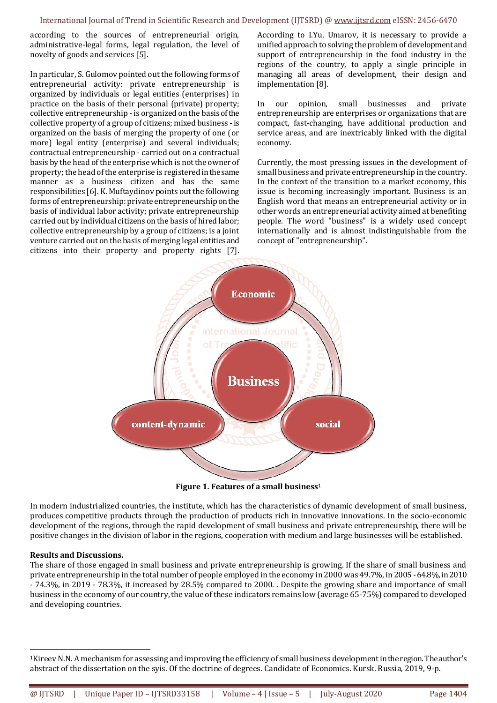according to the sources of entrepreneurial origin, administrative-legal forms, legal regulation, the level of novelty of goods and services [5].

In particular, S. Gulomov pointed out the following forms of entrepreneurial activity: private entrepreneurship is organized by individuals or legal entities (enterprises) in practice on the basis of their personal (private) property; collective entrepreneurship - is organized on the basis of the collective property of a group of citizens; mixed business -is organized on the basis of merging the property of one (or more) legal entity (enterprise) and several individuals; contractual entrepreneurship - carried out on a contractual basis by the head of the enterprise which is not the owner of property; the head of the enterprise is registered in the same manner as a business citizen and has the same responsibilities [6]. K. Muftaydinov points out the following forms of entrepreneurship: private entrepreneurship on the basis of individual labor activity; private entrepreneurship carried out by individual citizens on the basis of hired labor; collective entrepreneurship by a group of citizens; is a joint venture carried out on the basis of merging legal entities and citizens into their property and property rights [7]. According to I.Yu. Umarov, it is necessary to provide a unified approach to solving the problem of development and support of entrepreneurship in the food industry in the regions of the country, to apply a single principle in managing all areas of development, their design and implementation [8].

In our opinion, small businesses and private entrepreneurship are enterprises or organizations that are compact, fast-changing, have additional production and service areas, and are inextricably linked with the digital economy.

Currently, the most pressing issues in the development of small business and private entrepreneurship in the country. In the context of the transition to a market economy, this issue is becoming increasingly important. Business is an English word that means an entrepreneurial activity or in other words an entrepreneurial activity aimed at benefiting people. The word "business" is a widely used concept internationally and is almost indistinguishable from the concept of "entrepreneurship".



**Figure 1. Features of a small business**<sup>1</sup>

In modern industrialized countries, the institute, which has the characteristics of dynamic development of small business, produces competitive products through the production of products rich in innovative innovations. In the socio-economic development of the regions, through the rapid development of small business and private entrepreneurship, there will be positive changes in the division of labor in the regions, cooperation with medium and large businesses will be established.

# **Results and Discussions.**

1

The share of those engaged in small business and private entrepreneurship is growing. If the share of small business and private entrepreneurship in the total number of people employed in the economy in 2000 was 49.7%, in 2005 -64.8%, in 2010 - 74.3%, in 2019 - 78.3%, it increased by 28.5% compared to 2000. . Despite the growing share and importance of small business in the economy of our country, the value of these indicators remains low (average 65-75%) compared to developed and developing countries.

<sup>1</sup>Kireev N.N. A mechanism for assessing and improving the efficiency of small business development in the region. The author's abstract of the dissertation on the syis. Of the doctrine of degrees. Candidate of Economics. Kursk. Russia, 2019, 9-p.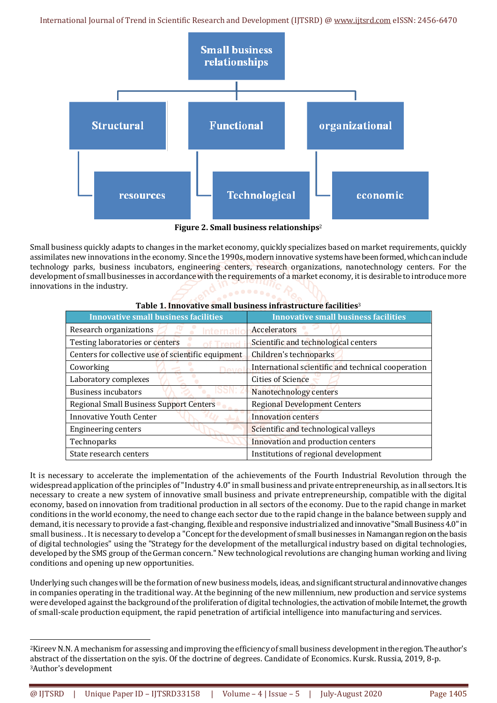International Journal of Trend in Scientific Research and Development (IJTSRD) @ [www.ijtsrd.com](http://www.ijtsrd.com/) eISSN: 2456-6470



**Figure 2. Small business relationships**<sup>2</sup>

Small business quickly adapts to changes in the market economy, quickly specializes based on market requirements, quickly assimilates new innovations in the economy. Since the 1990s, modern innovative systems have been formed, which can include technology parks, business incubators, engineering centers, research organizations, nanotechnology centers. For the development of small businesses in accordance with the requirements of a market economy, it is desirable to introduce more innovations in the industry.

| Table 1. Innovative small pusiness initiastructure lacilities» |                                                    |
|----------------------------------------------------------------|----------------------------------------------------|
| <b>Innovative small business facilities</b>                    | <b>Innovative small business facilities</b>        |
| Research organizations<br>nternat                              | Accelerators                                       |
| Testing laboratories or centers                                | Scientific and technological centers               |
| Centers for collective use of scientific equipment             | Children's technoparks                             |
| Coworking                                                      | International scientific and technical cooperation |
| Laboratory complexes                                           | <b>Cities of Science</b>                           |
| <b>Business incubators</b>                                     | Nanotechnology centers                             |
| <b>Regional Small Business Support Centers</b>                 | <b>Regional Development Centers</b>                |
| <b>Innovative Youth Center</b>                                 | Innovation centers                                 |
| <b>Engineering centers</b>                                     | Scientific and technological valleys               |
| Technoparks                                                    | Innovation and production centers                  |
| State research centers                                         | Institutions of regional development               |

# **Table 1. Innovative small business infrastructure facilities**<sup>3</sup>

It is necessary to accelerate the implementation of the achievements of the Fourth Industrial Revolution through the widespread application of the principles of "Industry 4.0" in small business and private entrepreneurship, as in all sectors. It is necessary to create a new system of innovative small business and private entrepreneurship, compatible with the digital economy, based on innovation from traditional production in all sectors of the economy. Due to the rapid change in market conditions in the world economy, the need to change each sector due to the rapid change in the balance between supply and demand, it is necessary to provide a fast-changing, flexible and responsive industrialized and innovative "Small Business 4.0" in small business. . It is necessary to develop a "Concept for the development of small businesses in Namangan region on the basis of digital technologies" using the "Strategy for the development of the metallurgical industry based on digital technologies, developed by the SMS group of the German concern." New technological revolutions are changing human working and living conditions and opening up new opportunities.

Underlying such changes will be the formation of new business models, ideas, and significant structural and innovative changes in companies operating in the traditional way. At the beginning of the new millennium, new production and service systems were developed against the background of the proliferation of digital technologies, the activation of mobile Internet, the growth of small-scale production equipment, the rapid penetration of artificial intelligence into manufacturing and services.

**.** 

<sup>2</sup>Kireev N.N. A mechanism for assessing and improving the efficiency of small business development in the region. The author's abstract of the dissertation on the syis. Of the doctrine of degrees. Candidate of Economics. Kursk. Russia, 2019, 8-p. 3Author's development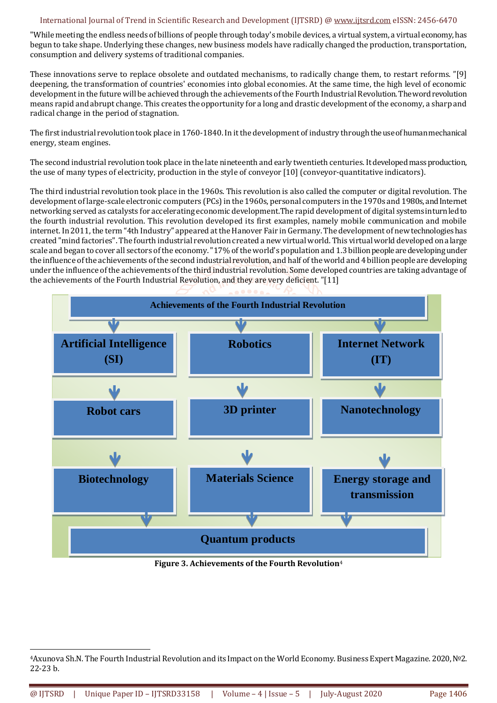# International Journal of Trend in Scientific Research and Development (IJTSRD) @ [www.ijtsrd.com](http://www.ijtsrd.com/) eISSN: 2456-6470

"While meeting the endless needs of billions of people through today's mobile devices, a virtual system, a virtual economy, has begun to take shape. Underlying these changes, new business models have radically changed the production, transportation, consumption and delivery systems of traditional companies.

These innovations serve to replace obsolete and outdated mechanisms, to radically change them, to restart reforms. "[9] deepening, the transformation of countries' economies into global economies. At the same time, the high level of economic development in the future will be achieved through the achievements of the Fourth Industrial Revolution. The word revolution means rapid and abrupt change. This creates the opportunity for a long and drastic development of the economy, a sharp and radical change in the period of stagnation.

The first industrial revolution took place in 1760-1840. In it the development of industry through the use of human mechanical energy, steam engines.

The second industrial revolution took place in the late nineteenth and early twentieth centuries. It developed mass production, the use of many types of electricity, production in the style of conveyor [10] (conveyor-quantitative indicators).

The third industrial revolution took place in the 1960s. This revolution is also called the computer or digital revolution. The development of large-scale electronic computers (PCs) in the 1960s, personal computers in the 1970s and 1980s, and Internet networking served as catalysts for accelerating economic development.The rapid development of digital systems in turn led to the fourth industrial revolution. This revolution developed its first examples, namely mobile communication and mobile internet. In 2011, the term "4th Industry" appeared at the Hanover Fair in Germany. The development of new technologies has created "mind factories". The fourth industrial revolution created a new virtual world. This virtual world developed on a large scale and began to cover all sectors of the economy. "17% of the world's population and 1.3 billion people are developing under the influence of the achievements of the second industrial revolution, and half of the world and 4 billion people are developing under the influence of the achievements of the third industrial revolution. Some developed countries are taking advantage of the achievements of the Fourth Industrial Revolution, and they are very deficient. "[11]



**Figure 3. Achievements of the Fourth Revolution**<sup>4</sup>

1

<sup>4</sup>Axunova Sh.N. The Fourth Industrial Revolution and its Impact on the World Economy. Business Expert Magazine. 2020, №2. 22-23 b.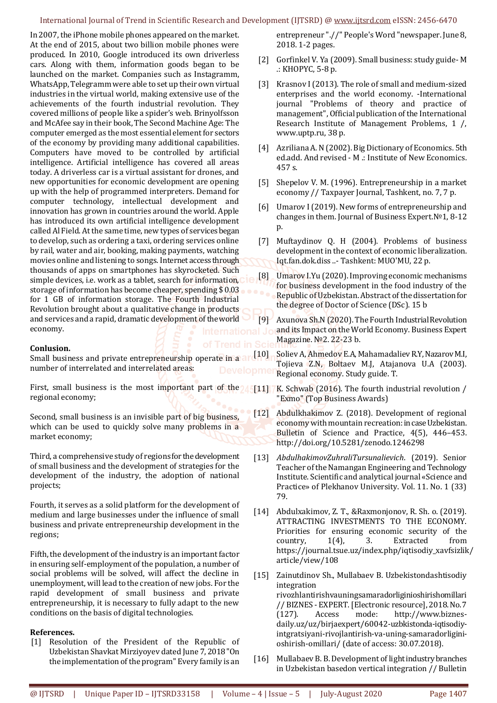### International Journal of Trend in Scientific Research and Development (IJTSRD) @ [www.ijtsrd.com](http://www.ijtsrd.com/) eISSN: 2456-6470

In 2007, the iPhone mobile phones appeared on the market. At the end of 2015, about two billion mobile phones were produced. In 2010, Google introduced its own driverless cars. Along with them, information goods began to be launched on the market. Companies such as Instagramm, WhatsApp, Telegramm were able to set up their own virtual industries in the virtual world, making extensive use of the achievements of the fourth industrial revolution. They covered millions of people like a spider's web. Brinyolfsson and McAfee say in their book, The Second Machine Age: The computer emerged as the most essential element for sectors of the economy by providing many additional capabilities. Computers have moved to be controlled by artificial intelligence. Artificial intelligence has covered all areas today. A driverless car is a virtual assistant for drones, and new opportunities for economic development are opening up with the help of programmed interpreters. Demand for computer technology, intellectual development and innovation has grown in countries around the world. Apple has introduced its own artificial intelligence development called Al Field. At the same time, new types of services began to develop, such as ordering a taxi, ordering services online by rail, water and air, booking, making payments, watching movies online and listening to songs. Internet access through thousands of apps on smartphones has skyrocketed. Such simple devices, i.e. work as a tablet, search for information, storage of information has become cheaper, spending \$ 0.03 for 1 GB of information storage. The Fourth Industrial Revolution brought about a qualitative change in products and services and a rapid, dramatic development of the world economy.

# **Conlusion.**

Small business and private entrepreneurship operate in a  $\arctan(10)$ number of interrelated and interrelated areas:

First, small business is the most important part of the  $\sqrt{5}$ [11] regional economy;

Second, small business is an invisible part of big business, which can be used to quickly solve many problems in a market economy;

Third, a comprehensive study of regions for the development of small business and the development of strategies for the development of the industry, the adoption of national projects;

Fourth, it serves as a solid platform for the development of medium and large businesses under the influence of small business and private entrepreneurship development in the regions;

Fifth, the development of the industry is an important factor in ensuring self-employment of the population, a number of social problems will be solved, will affect the decline in unemployment, will lead to the creation of new jobs. For the rapid development of small business and private entrepreneurship, it is necessary to fully adapt to the new conditions on the basis of digital technologies.

# **References.**

[1] Resolution of the President of the Republic of Uzbekistan Shavkat Mirziyoyev dated June 7, 2018 "On the implementation of the program" Every family is an

entrepreneur ".//" People's Word "newspaper. June 8, 2018. 1-2 pages.

- [2] Gorfinkel V. Ya (2009). Small business: study guide- M .: KHOPYC, 5-8 p.
- [3] Krasnov I (2013). The role of small and medium-sized enterprises and the world economy. -International journal "Problems of theory and practice of management", Official publication of the International Research Institute of Management Problems, 1 /, www.uptp.ru, 38 p.
- [4] Azriliana A.N (2002). Big Dictionary of Economics. 5th ed.add. And revised - M .: Institute of New Economics. 457 s.
- [5] Shepelov V. M. (1996). Entrepreneurship in a market economy // Taxpayer Journal, Tashkent, no. 7, 7 p.
- [6] Umarov I (2019). New forms of entrepreneurship and changes in them. Journal of Business Expert.№1, 8-12 p.
- [7] Muftaydinov Q. H (2004). Problems of business development in the context of economic liberalization. Iqt.fan.dok.diss ..- Tashkent: MUO'MU, 22 p.
- [8] Umarov I.Yu (2020). Improving economic mechanisms for business development in the food industry of the Republic of Uzbekistan. Abstract of the dissertation for the degree of Doctor of Science (DSc). 15 b
- [9] Axunova Sh.N (2020). The Fourth Industrial Revolution and its Impact on the World Economy. Business Expert Magazine. №2. 22-23 b.

Soliev A, Ahmedov E.A, Mahamadaliev R.Y, Nazarov M.I, Tojieva Z.N, Boltaev M.J, Atajanova U.A (2003). Regional economy. Study guide. T.

K. Schwab (2016). The fourth industrial revolution / "Exmo" (Top Business Awards)

- [12] Abdulkhakimov Z. (2018). Development of regional economy with mountain recreation: in case Uzbekistan. Bulletin of Science and Practice, 4(5), 446–453. http://doi.org/10.5281/zenodo.1246298
- [13] *AbdulhakimovZuhraliTursunalievich*. (2019). Senior Teacher of the Namangan Engineering and Technology Institute. Scientific and analytical journal «Science and Practice» of Plekhanov University. Vol. 11. No. 1 (33) 79.
- [14] Abdulxakimov, Z. T., &Raxmonjonov, R. Sh. o. (2019). ATTRACTING INVESTMENTS TO THE ECONOMY. Priorities for ensuring economic security of the country, 1(4), 3. Extracted from https://journal.tsue.uz/index.php/iqtisodiy\_xavfsizlik/ article/view/108
- [15] Zainutdinov Sh., Mullabaev B. Uzbekistondashtisodiy integration rivozhlantirishvauningsamaradorliginioshirishomillari // BIZNES - EXPERT. [Electronic resource], 2018. No. 7 (127). Access mode: http://www.biznesdaily.uz/uz/birjaexpert/60042-uzbkistonda-iqtisodiyintgratsiyani-rivojlantirish-va-uning-samaradorliginioshirish-omillari/ (date of access: 30.07.2018).
- [16] Mullabaev B. B. Development of light industry branches in Uzbekistan basedon vertical integration // Bulletin